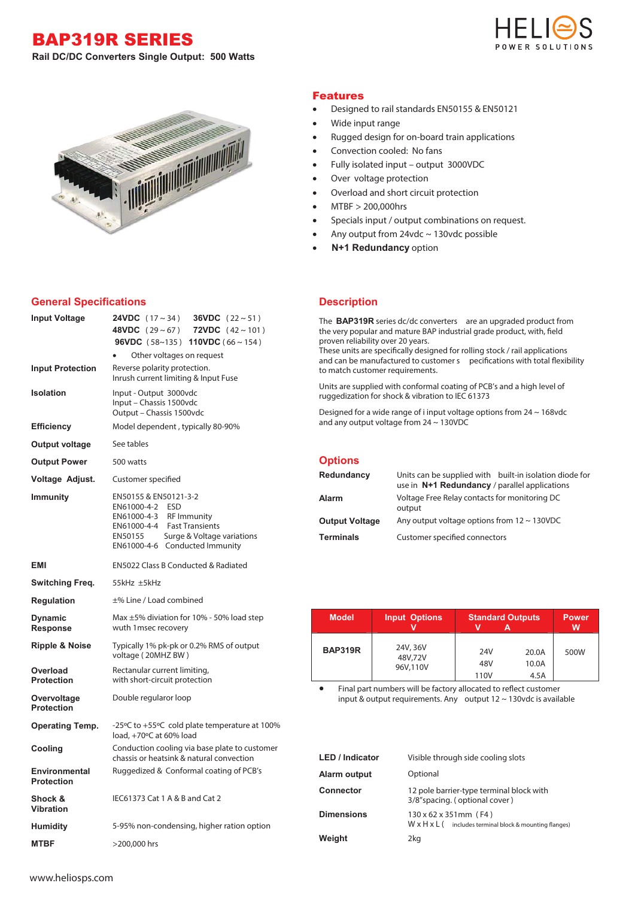BAP319R SERIES







## **General Specifications**

| <b>Input Voltage</b>                   | <b>24VDC</b> $(17 \sim 34)$<br><b>36VDC</b> $(22 \sim 51)$<br><b>48VDC</b> $(29 \sim 67)$<br><b>72VDC</b> $(42 \sim 101)$<br><b>96VDC</b> (58~135) <b>110VDC</b> (66~154)<br>Other voltages on request |  |  |
|----------------------------------------|--------------------------------------------------------------------------------------------------------------------------------------------------------------------------------------------------------|--|--|
| <b>Input Protection</b>                | Reverse polarity protection.<br>Inrush current limiting & Input Fuse                                                                                                                                   |  |  |
| <b>Isolation</b>                       | Input - Output 3000vdc<br>Input - Chassis 1500vdc<br>Output - Chassis 1500vdc                                                                                                                          |  |  |
| <b>Efficiency</b>                      | Model dependent, typically 80-90%                                                                                                                                                                      |  |  |
| Output voltage                         | See tables                                                                                                                                                                                             |  |  |
| <b>Output Power</b>                    | 500 watts                                                                                                                                                                                              |  |  |
| Voltage Adjust.                        | Customer specified                                                                                                                                                                                     |  |  |
| <b>Immunity</b>                        | EN50155 & EN50121-3-2<br>EN61000-4-2 ESD<br>EN61000-4-3 RF Immunity<br>EN61000-4-4 Fast Transients<br>Surge & Voltage variations<br>EN50155<br>EN61000-4-6 Conducted Immunity                          |  |  |
| <b>EMI</b>                             | EN5022 Class B Conducted & Radiated                                                                                                                                                                    |  |  |
| Switching Freq.                        | 55kHz ±5kHz                                                                                                                                                                                            |  |  |
| <b>Regulation</b>                      | ±% Line / Load combined                                                                                                                                                                                |  |  |
| <b>Dynamic</b><br><b>Response</b>      | Max $\pm$ 5% diviation for 10% - 50% load step<br>wuth 1 msec recovery                                                                                                                                 |  |  |
| <b>Ripple &amp; Noise</b>              | Typically 1% pk-pk or 0.2% RMS of output<br>voltage (20MHZ BW)                                                                                                                                         |  |  |
| Overload<br><b>Protection</b>          | Rectanular current limiting,<br>with short-circuit protection                                                                                                                                          |  |  |
| Overvoltage<br><b>Protection</b>       | Double regularor loop                                                                                                                                                                                  |  |  |
| <b>Operating Temp.</b>                 | -25°C to +55°C cold plate temperature at 100%<br>load, +70°C at 60% load                                                                                                                               |  |  |
| Cooling                                | Conduction cooling via base plate to customer<br>chassis or heatsink & natural convection                                                                                                              |  |  |
| Environmental<br><b>Protection</b>     | Ruggedized & Conformal coating of PCB's                                                                                                                                                                |  |  |
| <b>Shock &amp;</b><br><b>Vibration</b> | IEC61373 Cat 1 A & B and Cat 2                                                                                                                                                                         |  |  |
| <b>Humidity</b>                        | 5-95% non-condensing, higher ration option                                                                                                                                                             |  |  |
| <b>MTBF</b>                            | >200,000 hrs                                                                                                                                                                                           |  |  |

## Features

- Designed to rail standards EN50155 & EN50121
- Wide input range
- Rugged design for on-board train applications
- Convection cooled: No fans
- Fully isolated input output 3000VDC
- Over voltage protection
- Overload and short circuit protection
- MTBF > 200,000hrs
- Specials input / output combinations on request.
- Any output from 24vdc  $\sim$  130vdc possible
- **N+1 Redundancy** option

## **Description**

The **BAP319R** series dc/dc converters are an upgraded product from the very popular and mature BAP industrial grade product, with, field proven reliability over 20 years.

These units are specifically designed for rolling stock / rail applications and can be manufactured to customer s pecifications with total flexibility to match customer requirements.

Units are supplied with conformal coating of PCB's and a high level of ruggedization for shock & vibration to IEC 61373

Designed for a wide range of i input voltage options from 24 ~ 168vdc and any output voltage from 24 ~ 130VDC

| <b>Options</b>  |                                                                                                          |  |
|-----------------|----------------------------------------------------------------------------------------------------------|--|
| Redundancy      | Units can be supplied with built-in isolation diode for<br>use in N+1 Redundancy / parallel applications |  |
| $A + - - - - -$ |                                                                                                          |  |

|                       | use in $N+1$ Redundancy / parallel applications         |
|-----------------------|---------------------------------------------------------|
| Alarm                 | Voltage Free Relay contacts for monitoring DC<br>output |
| <b>Output Voltage</b> | Any output voltage options from $12 \sim 130$ VDC       |
| <b>Terminals</b>      | Customer specified connectors                           |

| <b>Model</b>   | <b>Input Options</b>            | <b>Standard Outputs</b> |                        | <b>Power</b><br>w |
|----------------|---------------------------------|-------------------------|------------------------|-------------------|
| <b>BAP319R</b> | 24V, 36V<br>48V,72V<br>96V,110V | 24V<br>48V<br>110V      | 20.0A<br>10.0A<br>4.5A | 500W              |

Final part numbers will be factory allocated to reflect customer input & output requirements. Any output  $12 \sim 130$ vdc is available

| <b>LED</b> / Indicator | Visible through side cooling slots                                                           |  |
|------------------------|----------------------------------------------------------------------------------------------|--|
| Alarm output           | Optional                                                                                     |  |
| <b>Connector</b>       | 12 pole barrier-type terminal block with<br>3/8"spacing. (optional cover)                    |  |
| <b>Dimensions</b>      | 130 x 62 x 351 mm (F4)<br>$W \times H \times L$ (includes terminal block & mounting flanges) |  |
| Weight                 | 2kg                                                                                          |  |